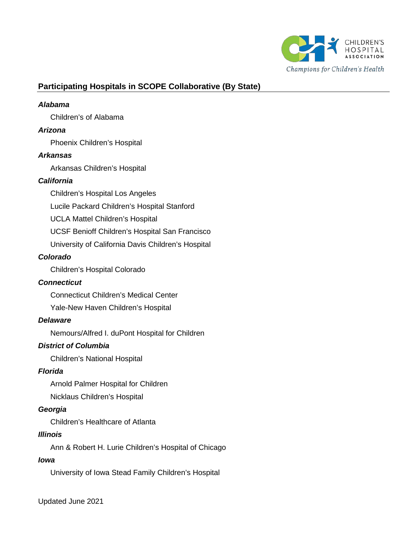

# **Participating Hospitals in SCOPE Collaborative (By State)**

#### *Alabama*

Children's of Alabama

#### *Arizona*

Phoenix Children's Hospital

#### *Arkansas*

Arkansas Children's Hospital

### *California*

Children's Hospital Los Angeles

Lucile Packard Children's Hospital Stanford

UCLA Mattel Children's Hospital

UCSF Benioff Children's Hospital San Francisco

University of California Davis Children's Hospital

### *Colorado*

Children's Hospital Colorado

#### *Connecticut*

Connecticut Children's Medical Center

Yale-New Haven Children's Hospital

#### *Delaware*

Nemours/Alfred I. duPont Hospital for Children

# *District of Columbia*

Children's National Hospital

#### *Florida*

Arnold Palmer Hospital for Children Nicklaus Children's Hospital

#### *Georgia*

Children's Healthcare of Atlanta

### *Illinois*

Ann & Robert H. Lurie Children's Hospital of Chicago

#### *Iowa*

University of Iowa Stead Family Children's Hospital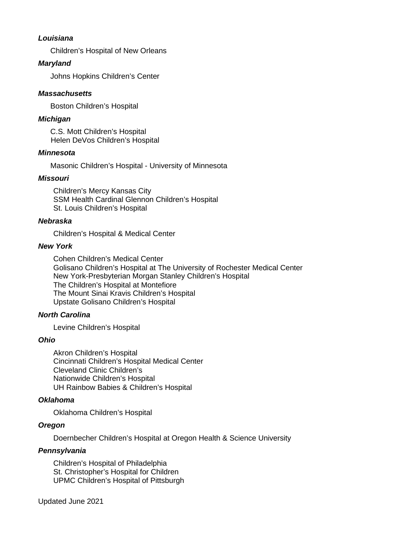### *Louisiana*

Children's Hospital of New Orleans

### *Maryland*

Johns Hopkins Children's Center

#### *Massachusetts*

Boston Children's Hospital

### *Michigan*

C.S. Mott Children's Hospital Helen DeVos Children's Hospital

#### *Minnesota*

Masonic Children's Hospital - University of Minnesota

### *Missouri*

Children's Mercy Kansas City SSM Health Cardinal Glennon Children's Hospital St. Louis Children's Hospital

#### *Nebraska*

Children's Hospital & Medical Center

#### *New York*

Cohen Children's Medical Center Golisano Children's Hospital at The University of Rochester Medical Center New York-Presbyterian Morgan Stanley Children's Hospital The Children's Hospital at Montefiore The Mount Sinai Kravis Children's Hospital Upstate Golisano Children's Hospital

#### *North Carolina*

Levine Children's Hospital

#### *Ohio*

Akron Children's Hospital Cincinnati Children's Hospital Medical Center Cleveland Clinic Children's Nationwide Children's Hospital UH Rainbow Babies & Children's Hospital

#### *Oklahoma*

Oklahoma Children's Hospital

#### *Oregon*

Doernbecher Children's Hospital at Oregon Health & Science University

#### *Pennsylvania*

Children's Hospital of Philadelphia St. Christopher's Hospital for Children UPMC Children's Hospital of Pittsburgh